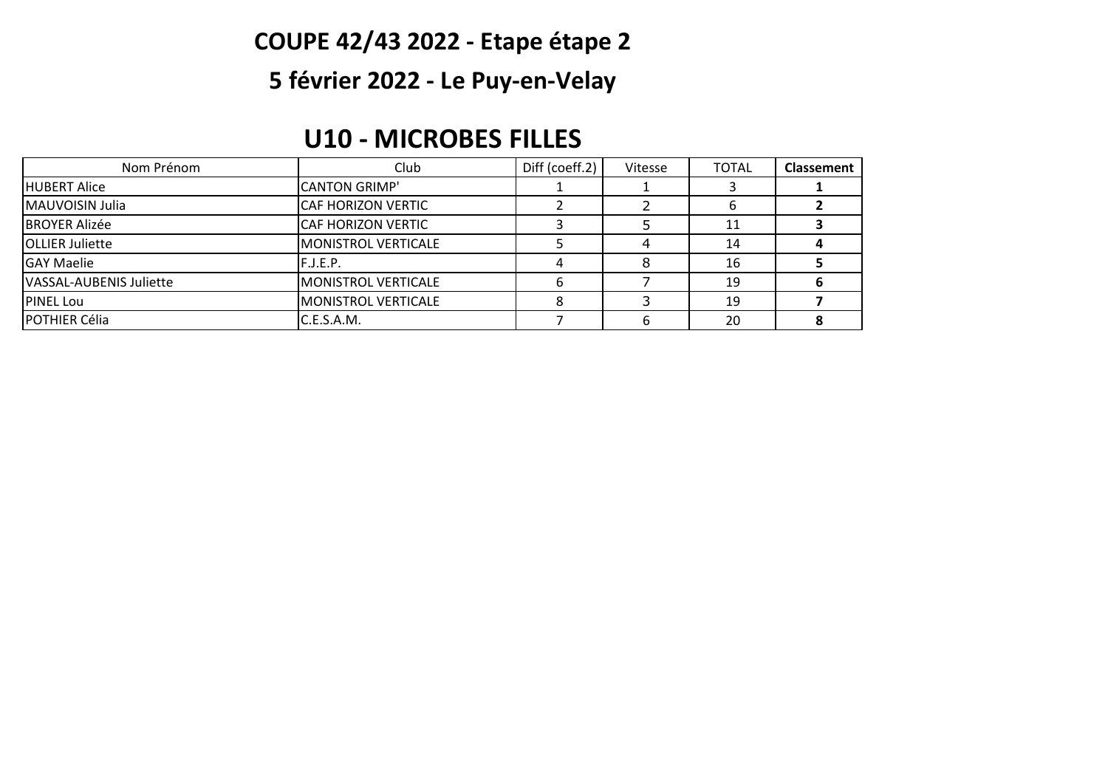## **COUPE 42/43 2022 - Etape étape 2**

## **5 février 2022 - Le Puy-en-Velay**

#### **U10 - MICROBES FILLES**

| Nom Prénom              | Club                       | Diff (coeff.2) | Vitesse | <b>TOTAL</b> | <b>Classement</b> |
|-------------------------|----------------------------|----------------|---------|--------------|-------------------|
| <b>HUBERT Alice</b>     | <b>CANTON GRIMP'</b>       |                |         |              |                   |
| <b>MAUVOISIN Julia</b>  | <b>CAF HORIZON VERTIC</b>  |                |         |              |                   |
| <b>BROYER Alizée</b>    | <b>CAF HORIZON VERTIC</b>  |                |         |              |                   |
| <b>OLLIER Juliette</b>  | MONISTROL VERTICALE        |                |         | 14           |                   |
| <b>GAY Maelie</b>       | F.J.E.P.                   |                |         | 16           |                   |
| VASSAL-AUBENIS Juliette | IMONISTROL VERTICALE       |                |         | 19           |                   |
| <b>PINEL Lou</b>        | <b>MONISTROL VERTICALE</b> |                |         | 19           |                   |
| <b>POTHIER Célia</b>    | C.E.S.A.M.                 |                |         | 20           |                   |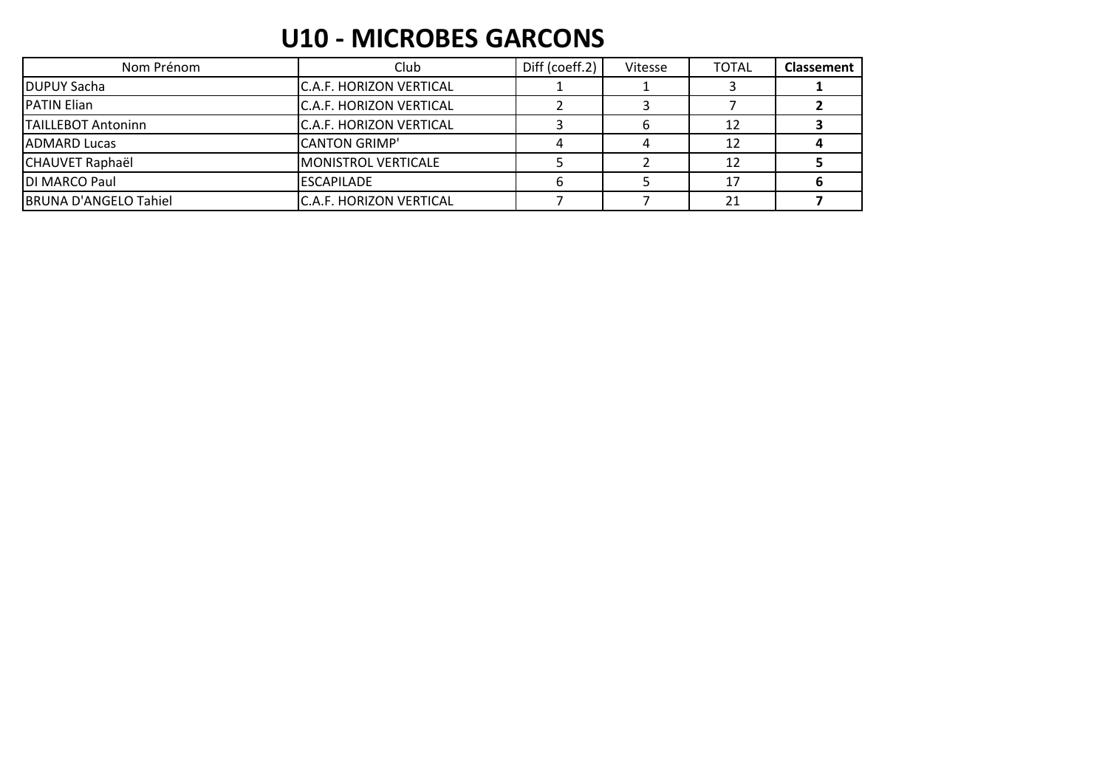### **U10 - MICROBES GARCONS**

| Nom Prénom                   | Club                           | Diff (coeff.2) | Vitesse | <b>TOTAL</b> | <b>Classement</b> |
|------------------------------|--------------------------------|----------------|---------|--------------|-------------------|
| <b>DUPUY Sacha</b>           | IC.A.F. HORIZON VERTICAL       |                |         |              |                   |
| <b>IPATIN Elian</b>          | C.A.F. HORIZON VERTICAL        |                |         |              |                   |
| TAILLEBOT Antoninn           | C.A.F. HORIZON VERTICAL        |                |         |              |                   |
| <b>IADMARD Lucas</b>         | <b>CANTON GRIMP'</b>           |                |         |              |                   |
| <b>CHAUVET Raphaël</b>       | <b>MONISTROL VERTICALE</b>     |                |         | 12           |                   |
| DI MARCO Paul                | <b>ESCAPILADE</b>              |                |         |              |                   |
| <b>BRUNA D'ANGELO Tahiel</b> | <b>C.A.F. HORIZON VERTICAL</b> |                |         | 21           |                   |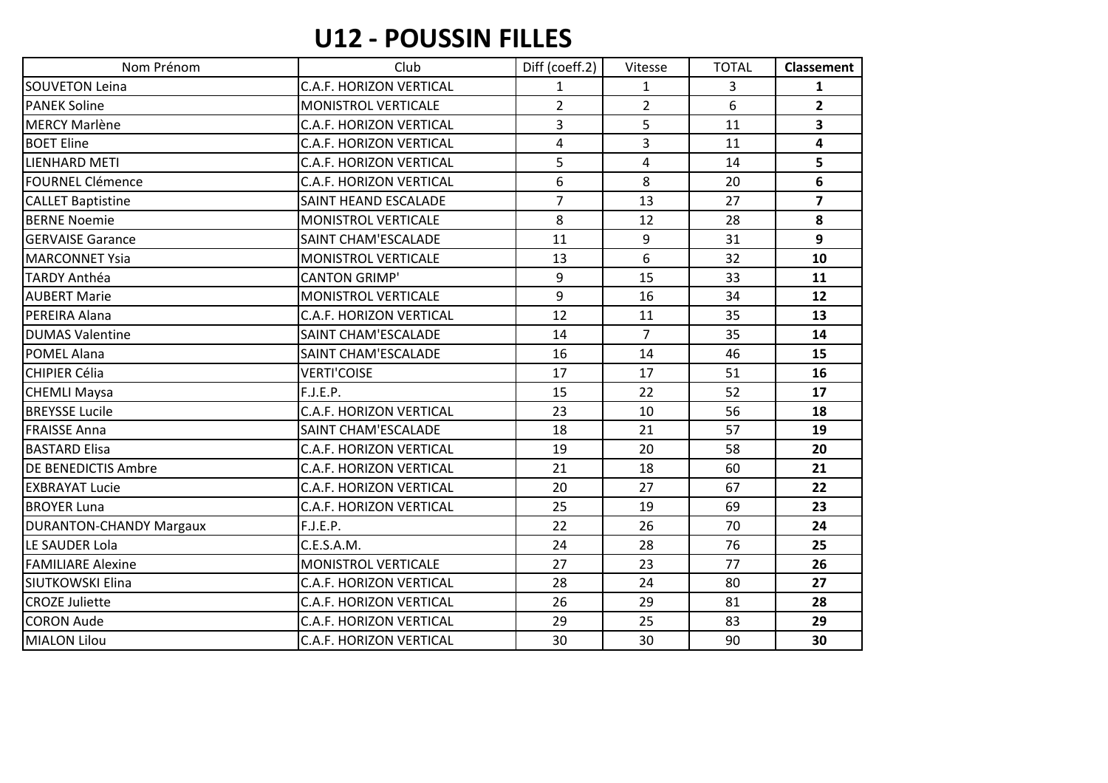### **U12 - POUSSIN FILLES**

| Nom Prénom                     | Club                           | Diff (coeff.2) | Vitesse        | <b>TOTAL</b>   | <b>Classement</b>       |
|--------------------------------|--------------------------------|----------------|----------------|----------------|-------------------------|
| <b>SOUVETON Leina</b>          | C.A.F. HORIZON VERTICAL        | $\mathbf{1}$   | $\mathbf{1}$   | 3              | $\mathbf{1}$            |
| <b>PANEK Soline</b>            | MONISTROL VERTICALE            | $\overline{2}$ | $\overline{2}$ | $\overline{6}$ | $\overline{2}$          |
| <b>MERCY Marlène</b>           | <b>C.A.F. HORIZON VERTICAL</b> | $\overline{3}$ | 5              | 11             | 3                       |
| <b>BOET Eline</b>              | <b>C.A.F. HORIZON VERTICAL</b> | 4              | $\overline{3}$ | 11             | $\overline{\mathbf{4}}$ |
| <b>LIENHARD METI</b>           | <b>C.A.F. HORIZON VERTICAL</b> | 5              | 4              | 14             | 5                       |
| <b>FOURNEL Clémence</b>        | C.A.F. HORIZON VERTICAL        | 6              | 8              | 20             | 6                       |
| <b>CALLET Baptistine</b>       | SAINT HEAND ESCALADE           | $\overline{7}$ | 13             | 27             | $\overline{ }$          |
| <b>BERNE Noemie</b>            | MONISTROL VERTICALE            | 8              | 12             | 28             | 8                       |
| <b>GERVAISE Garance</b>        | SAINT CHAM'ESCALADE            | 11             | 9              | 31             | 9                       |
| <b>MARCONNET Ysia</b>          | MONISTROL VERTICALE            | 13             | 6              | 32             | 10                      |
| <b>TARDY Anthéa</b>            | <b>CANTON GRIMP'</b>           | 9              | 15             | 33             | 11                      |
| <b>AUBERT Marie</b>            | MONISTROL VERTICALE            | 9              | 16             | 34             | 12                      |
| PEREIRA Alana                  | <b>C.A.F. HORIZON VERTICAL</b> | 12             | 11             | 35             | 13                      |
| <b>DUMAS Valentine</b>         | SAINT CHAM'ESCALADE            | 14             | $\overline{7}$ | 35             | 14                      |
| <b>POMEL Alana</b>             | SAINT CHAM'ESCALADE            | 16             | 14             | 46             | 15                      |
| <b>CHIPIER Célia</b>           | <b>VERTI'COISE</b>             | 17             | 17             | 51             | 16                      |
| <b>CHEMLI Maysa</b>            | F.J.E.P.                       | 15             | 22             | 52             | 17                      |
| <b>BREYSSE Lucile</b>          | <b>C.A.F. HORIZON VERTICAL</b> | 23             | 10             | 56             | 18                      |
| <b>FRAISSE Anna</b>            | SAINT CHAM'ESCALADE            | 18             | 21             | 57             | 19                      |
| <b>BASTARD Elisa</b>           | <b>C.A.F. HORIZON VERTICAL</b> | 19             | 20             | 58             | 20                      |
| <b>DE BENEDICTIS Ambre</b>     | <b>C.A.F. HORIZON VERTICAL</b> | 21             | 18             | 60             | 21                      |
| <b>EXBRAYAT Lucie</b>          | <b>C.A.F. HORIZON VERTICAL</b> | 20             | 27             | 67             | 22                      |
| <b>BROYER Luna</b>             | <b>C.A.F. HORIZON VERTICAL</b> | 25             | 19             | 69             | 23                      |
| <b>DURANTON-CHANDY Margaux</b> | F.J.E.P.                       | 22             | 26             | 70             | 24                      |
| LE SAUDER Lola                 | C.E.S.A.M.                     | 24             | 28             | 76             | 25                      |
| <b>FAMILIARE Alexine</b>       | MONISTROL VERTICALE            | 27             | 23             | 77             | 26                      |
| <b>SIUTKOWSKI Elina</b>        | <b>C.A.F. HORIZON VERTICAL</b> | 28             | 24             | 80             | 27                      |
| <b>CROZE Juliette</b>          | <b>C.A.F. HORIZON VERTICAL</b> | 26             | 29             | 81             | 28                      |
| <b>CORON Aude</b>              | <b>C.A.F. HORIZON VERTICAL</b> | 29             | 25             | 83             | 29                      |
| <b>MIALON Lilou</b>            | <b>C.A.F. HORIZON VERTICAL</b> | 30             | 30             | 90             | 30                      |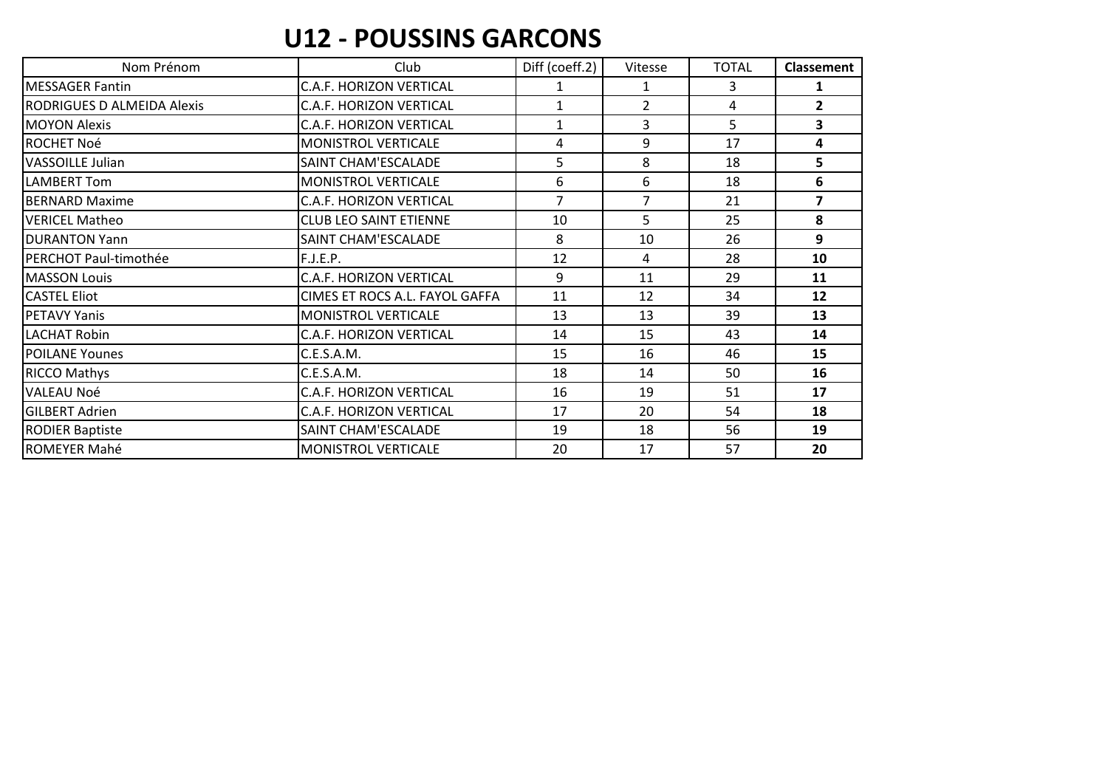### **U12 - POUSSINS GARCONS**

| Nom Prénom                 | Club                           | Diff (coeff.2) | Vitesse        | <b>TOTAL</b> | <b>Classement</b>       |
|----------------------------|--------------------------------|----------------|----------------|--------------|-------------------------|
| <b>MESSAGER Fantin</b>     | <b>C.A.F. HORIZON VERTICAL</b> | 1              | 1              | 3            | 1                       |
| RODRIGUES D ALMEIDA Alexis | C.A.F. HORIZON VERTICAL        | $\mathbf{1}$   | $\overline{2}$ | 4            | $\overline{2}$          |
| <b>MOYON Alexis</b>        | C.A.F. HORIZON VERTICAL        | $\mathbf{1}$   | $\overline{3}$ | 5            | 3                       |
| <b>ROCHET Noé</b>          | MONISTROL VERTICALE            | 4              | 9              | 17           | 4                       |
| <b>VASSOILLE Julian</b>    | SAINT CHAM'ESCALADE            | 5              | 8              | 18           | 5                       |
| LAMBERT Tom                | MONISTROL VERTICALE            | 6              | 6              | 18           | 6                       |
| <b>BERNARD Maxime</b>      | C.A.F. HORIZON VERTICAL        | $\overline{7}$ | $\overline{7}$ | 21           | $\overline{\mathbf{z}}$ |
| VERICEL Matheo             | <b>CLUB LEO SAINT ETIENNE</b>  | 10             | 5              | 25           | 8                       |
| <b>DURANTON Yann</b>       | SAINT CHAM'ESCALADE            | 8              | 10             | 26           | 9                       |
| PERCHOT Paul-timothée      | F.J.E.P.                       | 12             | 4              | 28           | 10                      |
| <b>MASSON Louis</b>        | C.A.F. HORIZON VERTICAL        | 9              | 11             | 29           | 11                      |
| <b>CASTEL Eliot</b>        | CIMES ET ROCS A.L. FAYOL GAFFA | 11             | 12             | 34           | 12                      |
| <b>PETAVY Yanis</b>        | MONISTROL VERTICALE            | 13             | 13             | 39           | 13                      |
| <b>LACHAT Robin</b>        | <b>C.A.F. HORIZON VERTICAL</b> | 14             | 15             | 43           | 14                      |
| <b>POILANE Younes</b>      | C.E.S.A.M.                     | 15             | 16             | 46           | 15                      |
| <b>RICCO Mathys</b>        | C.E.S.A.M.                     | 18             | 14             | 50           | 16                      |
| <b>VALEAU Noé</b>          | C.A.F. HORIZON VERTICAL        | 16             | 19             | 51           | 17                      |
| <b>GILBERT Adrien</b>      | C.A.F. HORIZON VERTICAL        | 17             | 20             | 54           | 18                      |
| <b>RODIER Baptiste</b>     | SAINT CHAM'ESCALADE            | 19             | 18             | 56           | 19                      |
| <b>ROMEYER Mahé</b>        | MONISTROL VERTICALE            | 20             | 17             | 57           | 20                      |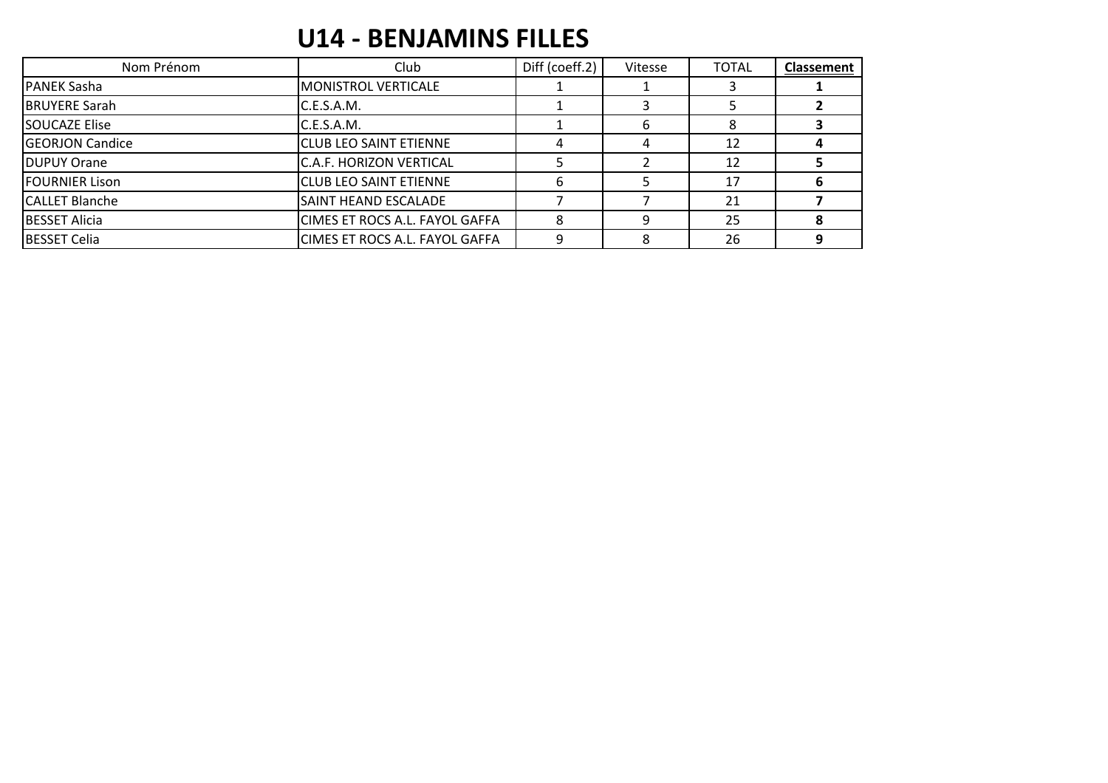## **U14 - BENJAMINS FILLES**

| Nom Prénom             | Club                           | Diff (coeff.2) | Vitesse | <b>TOTAL</b> | <b>Classement</b> |
|------------------------|--------------------------------|----------------|---------|--------------|-------------------|
| <b>PANEK Sasha</b>     | MONISTROL VERTICALE            |                |         |              |                   |
| <b>BRUYERE Sarah</b>   | C.E.S.A.M.                     |                |         |              |                   |
| <b>SOUCAZE Elise</b>   | C.E.S.A.M.                     |                |         |              |                   |
| <b>GEORJON Candice</b> | <b>CLUB LEO SAINT ETIENNE</b>  |                |         | 12           |                   |
| <b>DUPUY Orane</b>     | C.A.F. HORIZON VERTICAL        |                |         | 12           |                   |
| <b>FOURNIER Lison</b>  | <b>CLUB LEO SAINT ETIENNE</b>  |                |         | 17           |                   |
| <b>CALLET Blanche</b>  | SAINT HEAND ESCALADE           |                |         | 21           |                   |
| <b>BESSET Alicia</b>   | CIMES ET ROCS A.L. FAYOL GAFFA |                |         | 25           |                   |
| <b>BESSET Celia</b>    | CIMES ET ROCS A.L. FAYOL GAFFA | q              |         | 26           | $\Omega$          |